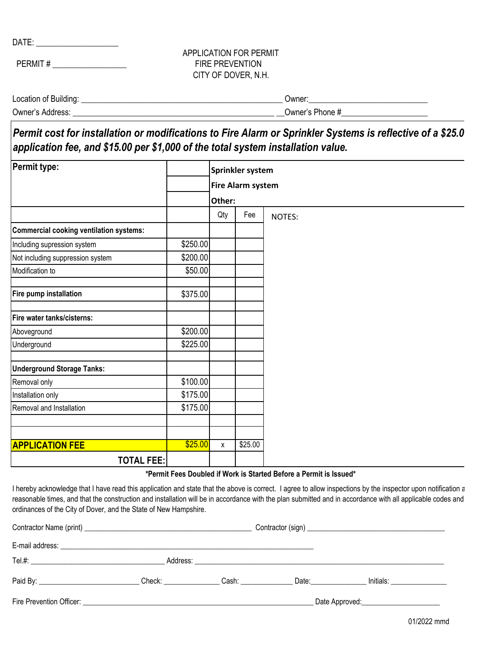DATE: \_\_\_\_\_\_\_\_\_\_\_\_\_\_\_\_\_\_\_\_

PERMIT #

## APPLICATION FOR PERMIT CITY OF DOVER, N.H. FIRE PREVENTION

| Location of Building: | ∪wner           |
|-----------------------|-----------------|
| Owner's Address:      | Owner's Phone # |

*Permit cost for installation or modifications to Fire Alarm or Sprinkler Systems is reflective of a \$25.0 application fee, and \$15.00 per \$1,000 of the total system installation value.*

| Permit type:                                   |          | Sprinkler system<br><b>Fire Alarm system</b> |         |               |  |  |
|------------------------------------------------|----------|----------------------------------------------|---------|---------------|--|--|
|                                                |          |                                              |         |               |  |  |
|                                                |          | Other:                                       |         |               |  |  |
|                                                |          | Qty                                          | Fee     | <b>NOTES:</b> |  |  |
| <b>Commercial cooking ventilation systems:</b> |          |                                              |         |               |  |  |
| Including supression system                    | \$250.00 |                                              |         |               |  |  |
| Not including suppression system               | \$200.00 |                                              |         |               |  |  |
| Modification to                                | \$50.00  |                                              |         |               |  |  |
| Fire pump installation                         | \$375.00 |                                              |         |               |  |  |
| Fire water tanks/cisterns:                     |          |                                              |         |               |  |  |
| Aboveground                                    | \$200.00 |                                              |         |               |  |  |
| Underground                                    | \$225.00 |                                              |         |               |  |  |
| <b>Underground Storage Tanks:</b>              |          |                                              |         |               |  |  |
| Removal only                                   | \$100.00 |                                              |         |               |  |  |
| Installation only                              | \$175.00 |                                              |         |               |  |  |
| Removal and Installation                       | \$175.00 |                                              |         |               |  |  |
|                                                |          |                                              |         |               |  |  |
| <b>APPLICATION FEE</b>                         | \$25.00  | X                                            | \$25.00 |               |  |  |
| <b>TOTAL FEE:</b>                              |          |                                              |         |               |  |  |

## **\*Permit Fees Doubled if Work is Started Before a Permit is Issued\***

I hereby acknowledge that I have read this application and state that the above is correct. I agree to allow inspections by the inspector upon notification a reasonable times, and that the construction and installation will be in accordance with the plan submitted and in accordance with all applicable codes and ordinances of the City of Dover, and the State of New Hampshire.

|  | Check: Cash: |                                         | Date: _________________ |  |  |
|--|--------------|-----------------------------------------|-------------------------|--|--|
|  |              | Date Approved:_________________________ |                         |  |  |